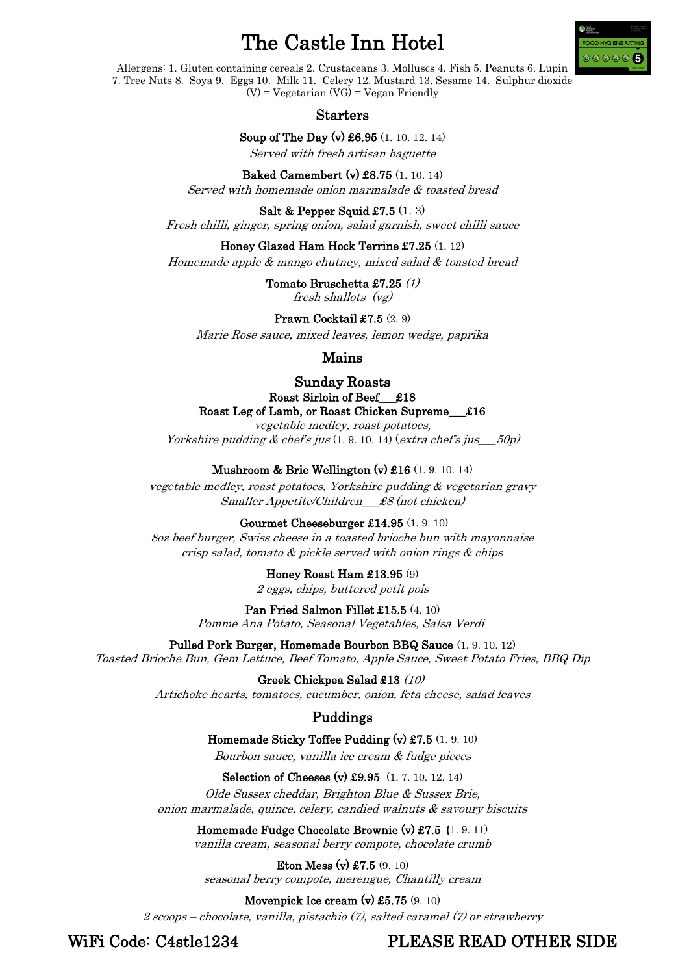# The Castle Inn Hotel



Allergens: 1. Gluten containing cereals 2. Crustaceans 3. Molluscs 4. Fish 5. Peanuts 6. Lupin 7. Tree Nuts 8. Soya 9. Eggs 10. Milk 11. Celery 12. Mustard 13. Sesame 14. Sulphur dioxide  $(V)$  = Vegetarian  $(VG)$  = Vegan Friendly

Starters

Soup of The Day (v) £6.95 (1. 10. 12. 14)

Served with fresh artisan baguette

Baked Camembert (v) £8.75 (1. 10. 14) Served with homemade onion marmalade & toasted bread

Salt & Pepper Squid  $\pounds$ 7.5  $(1, 3)$ Fresh chilli, ginger, spring onion, salad garnish, sweet chilli sauce

Honey Glazed Ham Hock Terrine £7.25 (1. 12)

Homemade apple & mango chutney, mixed salad & toasted bread

Tomato Bruschetta £7.25 (1) fresh shallots (vg)

Prawn Cocktail £7.5 (2.9)

Marie Rose sauce, mixed leaves, lemon wedge, paprika

#### Mains

Sunday Roasts Roast Sirloin of Beef\_\_\_£18 Roast Leg of Lamb, or Roast Chicken Supreme\_\_\_£16

vegetable medley, roast potatoes, Yorkshire pudding  $\&$  chef's jus  $(1, 9, 10, 14)$  (extra chef's jus  $50p$ )

Mushroom & Brie Wellington (v) £16 (1. 9. 10. 14)

vegetable medley, roast potatoes, Yorkshire pudding & vegetarian gravy Smaller Appetite/Children\_\_\_£8 (not chicken)

Gourmet Cheeseburger £14.95 (1. 9. 10)

8oz beef burger, Swiss cheese in a toasted brioche bun with mayonnaise crisp salad, tomato & pickle served with onion rings & chips

Honey Roast Ham £13.95 (9)

2 eggs, chips, buttered petit pois

Pan Fried Salmon Fillet £15.5 (4. 10)

Pomme Ana Potato, Seasonal Vegetables, Salsa Verdi

Pulled Pork Burger, Homemade Bourbon BBQ Sauce (1. 9. 10. 12) Toasted Brioche Bun, Gem Lettuce, Beef Tomato, Apple Sauce, Sweet Potato Fries, BBQ Dip

Greek Chickpea Salad £13 (10)

Artichoke hearts, tomatoes, cucumber, onion, feta cheese, salad leaves

### Puddings

Homemade Sticky Toffee Pudding (v) £7.5 (1. 9. 10) Bourbon sauce, vanilla ice cream & fudge pieces

Selection of Cheeses (v) £9.95 (1. 7. 10. 12. 14)

Olde Sussex cheddar, Brighton Blue & Sussex Brie, onion marmalade, quince, celery, candied walnuts & savoury biscuits

Homemade Fudge Chocolate Brownie (v) £7.5 **(**1. 9. 11)

vanilla cream, seasonal berry compote, chocolate crumb

Eton Mess (v) £7.5 (9. 10) seasonal berry compote, merengue, Chantilly cream

Movenpick Ice cream (v) £5.75 (9. 10)

2 scoops – chocolate, vanilla, pistachio (7), salted caramel (7) or strawberry

WiFi Code: C4stle1234 PLEASE READ OTHER SIDE